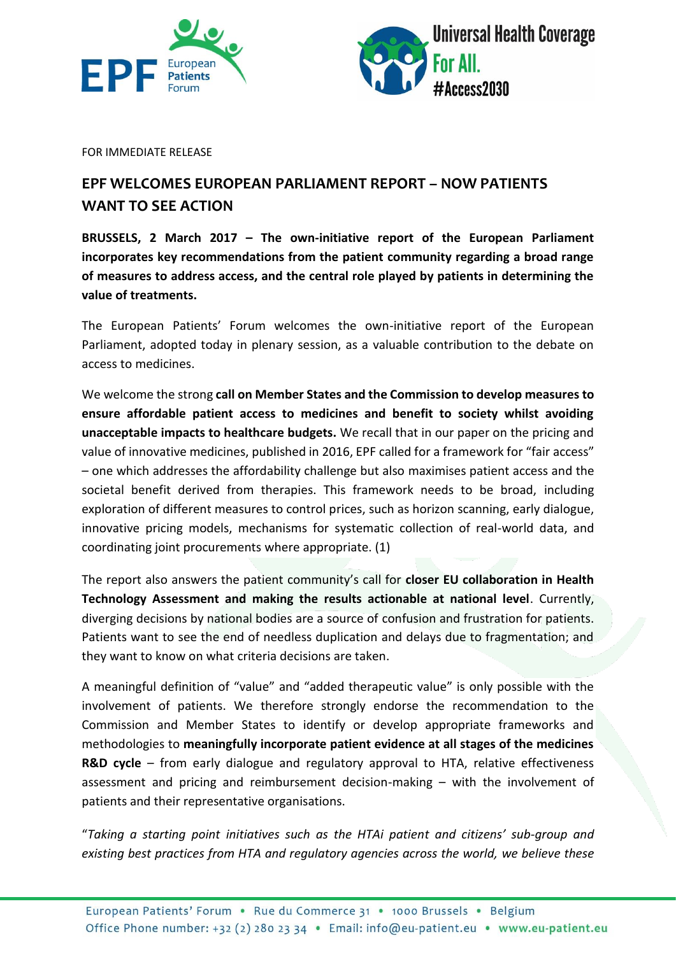



FOR IMMEDIATE RELEASE

## **EPF WELCOMES EUROPEAN PARLIAMENT REPORT – NOW PATIENTS WANT TO SEE ACTION**

**BRUSSELS, 2 March 2017 – The own-initiative report of the European Parliament incorporates key recommendations from the patient community regarding a broad range of measures to address access, and the central role played by patients in determining the value of treatments.** 

The European Patients' Forum welcomes the own-initiative report of the European Parliament, adopted today in plenary session, as a valuable contribution to the debate on access to medicines.

We welcome the strong **call on Member States and the Commission to develop measures to ensure affordable patient access to medicines and benefit to society whilst avoiding unacceptable impacts to healthcare budgets.** We recall that in our paper on the pricing and value of innovative medicines, published in 2016, EPF called for a framework for "fair access" – one which addresses the affordability challenge but also maximises patient access and the societal benefit derived from therapies. This framework needs to be broad, including exploration of different measures to control prices, such as horizon scanning, early dialogue, innovative pricing models, mechanisms for systematic collection of real-world data, and coordinating joint procurements where appropriate. (1)

The report also answers the patient community's call for **closer EU collaboration in Health Technology Assessment and making the results actionable at national level**. Currently, diverging decisions by national bodies are a source of confusion and frustration for patients. Patients want to see the end of needless duplication and delays due to fragmentation; and they want to know on what criteria decisions are taken.

A meaningful definition of "value" and "added therapeutic value" is only possible with the involvement of patients. We therefore strongly endorse the recommendation to the Commission and Member States to identify or develop appropriate frameworks and methodologies to **meaningfully incorporate patient evidence at all stages of the medicines R&D cycle** – from early dialogue and regulatory approval to HTA, relative effectiveness assessment and pricing and reimbursement decision-making – with the involvement of patients and their representative organisations.

"*Taking a starting point initiatives such as the HTAi patient and citizens' sub-group and existing best practices from HTA and regulatory agencies across the world, we believe these*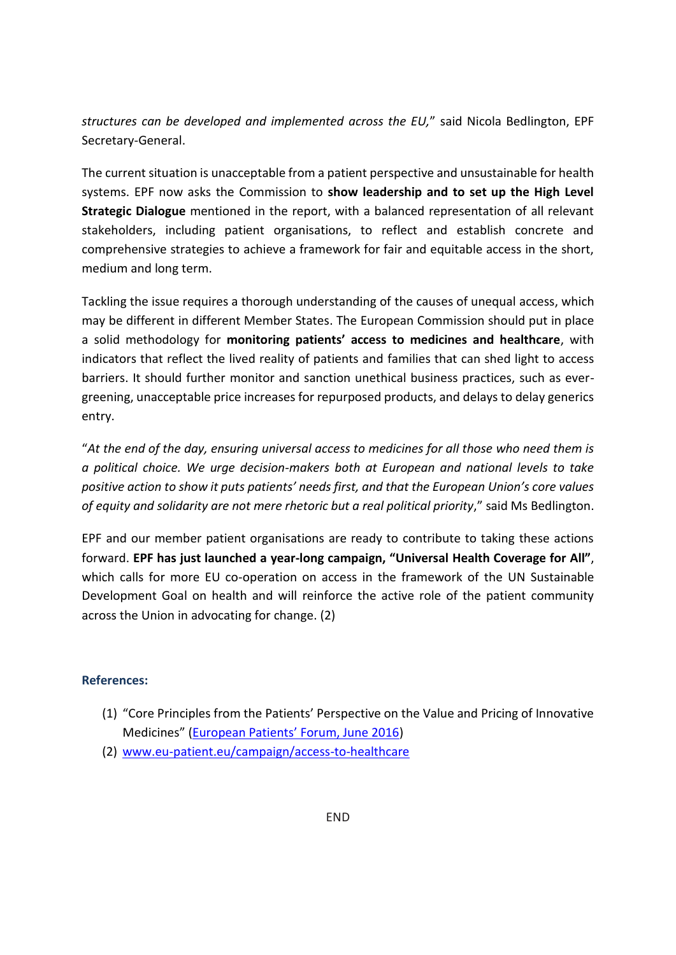*structures can be developed and implemented across the EU,*" said Nicola Bedlington, EPF Secretary-General.

The current situation is unacceptable from a patient perspective and unsustainable for health systems. EPF now asks the Commission to **show leadership and to set up the High Level Strategic Dialogue** mentioned in the report, with a balanced representation of all relevant stakeholders, including patient organisations, to reflect and establish concrete and comprehensive strategies to achieve a framework for fair and equitable access in the short, medium and long term.

Tackling the issue requires a thorough understanding of the causes of unequal access, which may be different in different Member States. The European Commission should put in place a solid methodology for **monitoring patients' access to medicines and healthcare**, with indicators that reflect the lived reality of patients and families that can shed light to access barriers. It should further monitor and sanction unethical business practices, such as evergreening, unacceptable price increases for repurposed products, and delays to delay generics entry.

"*At the end of the day, ensuring universal access to medicines for all those who need them is a political choice. We urge decision-makers both at European and national levels to take positive action to show it puts patients' needs first, and that the European Union's core values of equity and solidarity are not mere rhetoric but a real political priority*," said Ms Bedlington.

EPF and our member patient organisations are ready to contribute to taking these actions forward. **EPF has just launched a year-long campaign, "Universal Health Coverage for All"**, which calls for more EU co-operation on access in the framework of the UN Sustainable Development Goal on health and will reinforce the active role of the patient community across the Union in advocating for change. (2)

## **References:**

- (1) "Core Principles from the Patients' Perspective on the Value and Pricing of Innovative Medicines" [\(European Patients' Forum, June 2016](http://www.eu-patient.eu/globalassets/policy/epf_pricing_statement_160616.pdf))
- (2) [www.eu-patient.eu/campaign/access-to-healthcare](http://www.eu-patient.eu/campaign/access-to-healthcare)